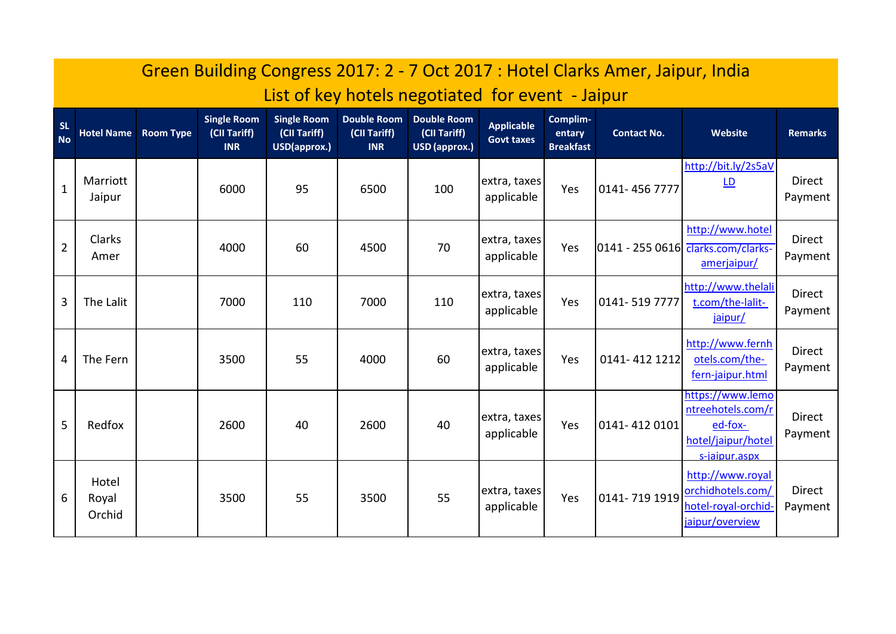|                        | Green Building Congress 2017: 2 - 7 Oct 2017: Hotel Clarks Amer, Jaipur, India |                             |                                                  |                                                    |                                                  |                                                     |                                        |                                        |                    |                                                                                         |                          |
|------------------------|--------------------------------------------------------------------------------|-----------------------------|--------------------------------------------------|----------------------------------------------------|--------------------------------------------------|-----------------------------------------------------|----------------------------------------|----------------------------------------|--------------------|-----------------------------------------------------------------------------------------|--------------------------|
|                        | List of key hotels negotiated for event - Jaipur                               |                             |                                                  |                                                    |                                                  |                                                     |                                        |                                        |                    |                                                                                         |                          |
| <b>SL</b><br><b>No</b> |                                                                                | <b>Hotel Name Room Type</b> | <b>Single Room</b><br>(CII Tariff)<br><b>INR</b> | <b>Single Room</b><br>(CII Tariff)<br>USD(approx.) | <b>Double Room</b><br>(CII Tariff)<br><b>INR</b> | <b>Double Room</b><br>(CII Tariff)<br>USD (approx.) | <b>Applicable</b><br><b>Govt taxes</b> | Complim-<br>entary<br><b>Breakfast</b> | <b>Contact No.</b> | Website                                                                                 | <b>Remarks</b>           |
| $\mathbf{1}$           | Marriott<br>Jaipur                                                             |                             | 6000                                             | 95                                                 | 6500                                             | 100                                                 | extra, taxes<br>applicable             | Yes                                    | 0141-4567777       | http://bit.ly/2s5aV<br>$\underline{\mathsf{LD}}$                                        | <b>Direct</b><br>Payment |
| $\overline{2}$         | Clarks<br>Amer                                                                 |                             | 4000                                             | 60                                                 | 4500                                             | 70                                                  | extra, taxes<br>applicable             | Yes                                    |                    | http://www.hotel<br>0141 - 255 0616 <del>Clarks.com/clarks-</del><br>amerjaipur/        | Direct<br>Payment        |
| 3                      | The Lalit                                                                      |                             | 7000                                             | 110                                                | 7000                                             | 110                                                 | extra, taxes<br>applicable             | Yes                                    | 0141-519 7777      | http://www.thelali<br>t.com/the-lalit-<br>jaipur/                                       | <b>Direct</b><br>Payment |
| 4                      | The Fern                                                                       |                             | 3500                                             | 55                                                 | 4000                                             | 60                                                  | extra, taxes<br>applicable             | Yes                                    | 0141-412 1212      | http://www.fernh<br>otels.com/the-<br>fern-jaipur.html                                  | Direct<br>Payment        |
| 5                      | Redfox                                                                         |                             | 2600                                             | 40                                                 | 2600                                             | 40                                                  | extra, taxes<br>applicable             | Yes                                    | 0141-4120101       | https://www.lemo<br>ntreehotels.com/r<br>ed-fox-<br>hotel/jaipur/hotel<br>s-jaipur.aspx | <b>Direct</b><br>Payment |
| 6                      | Hotel<br>Royal<br>Orchid                                                       |                             | 3500                                             | 55                                                 | 3500                                             | 55                                                  | extra, taxes<br>applicable             | Yes                                    | 0141-719 1919      | http://www.royal<br>orchidhotels.com/<br>hotel-royal-orchid-<br>jaipur/overview         | <b>Direct</b><br>Payment |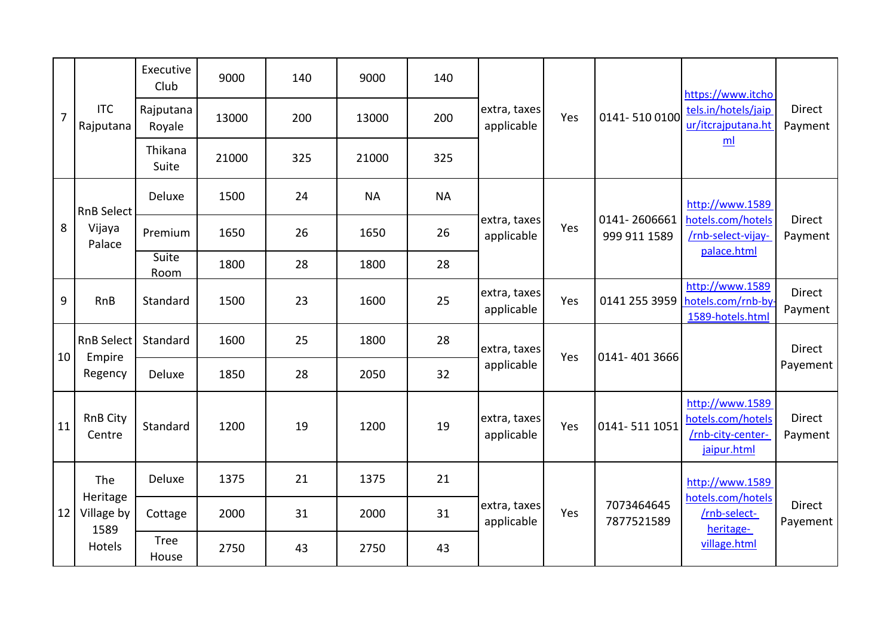| $\overline{7}$  | <b>ITC</b><br>Rajputana                         | Executive<br>Club    | 9000  | 140 | 9000      | 140       | extra, taxes<br>applicable | Yes | 0141-5100100                 | https://www.itcho<br>tels.in/hotels/jaip<br>ur/itcrajputana.ht<br>ml              | Direct<br>Payment        |
|-----------------|-------------------------------------------------|----------------------|-------|-----|-----------|-----------|----------------------------|-----|------------------------------|-----------------------------------------------------------------------------------|--------------------------|
|                 |                                                 | Rajputana<br>Royale  | 13000 | 200 | 13000     | 200       |                            |     |                              |                                                                                   |                          |
|                 |                                                 | Thikana<br>Suite     | 21000 | 325 | 21000     | 325       |                            |     |                              |                                                                                   |                          |
| 8               | <b>RnB Select</b><br>Vijaya<br>Palace           | Deluxe               | 1500  | 24  | <b>NA</b> | <b>NA</b> | extra, taxes<br>applicable | Yes | 0141-2606661<br>999 911 1589 | http://www.1589<br>hotels.com/hotels<br>/rnb-select-vijay-<br>palace.html         | Direct<br>Payment        |
|                 |                                                 | Premium              | 1650  | 26  | 1650      | 26        |                            |     |                              |                                                                                   |                          |
|                 |                                                 | Suite<br><b>Room</b> | 1800  | 28  | 1800      | 28        |                            |     |                              |                                                                                   |                          |
| 9               | RnB                                             | Standard             | 1500  | 23  | 1600      | 25        | extra, taxes<br>applicable | Yes | 0141 255 3959                | http://www.1589<br>hotels.com/rnb-by<br>1589-hotels.html                          | <b>Direct</b><br>Payment |
| 10 <sup>1</sup> | <b>RnB Select</b><br>Empire<br>Regency          | Standard             | 1600  | 25  | 1800      | 28        | extra, taxes<br>applicable | Yes | 0141-401 3666                |                                                                                   | Direct                   |
|                 |                                                 | Deluxe               | 1850  | 28  | 2050      | 32        |                            |     |                              |                                                                                   | Payement                 |
| 11              | <b>RnB City</b><br>Centre                       | Standard             | 1200  | 19  | 1200      | 19        | extra, taxes<br>applicable | Yes | 0141-511 1051                | http://www.1589<br>hotels.com/hotels<br>/rnb-city-center-<br>jaipur.html          | Direct<br>Payment        |
| 12              | The<br>Heritage<br>Village by<br>1589<br>Hotels | Deluxe               | 1375  | 21  | 1375      | 21        | extra, taxes<br>applicable | Yes | 7073464645<br>7877521589     | http://www.1589<br>hotels.com/hotels<br>/rnb-select-<br>heritage-<br>village.html | Direct<br>Payement       |
|                 |                                                 | Cottage              | 2000  | 31  | 2000      | 31        |                            |     |                              |                                                                                   |                          |
|                 |                                                 | <b>Tree</b><br>House | 2750  | 43  | 2750      | 43        |                            |     |                              |                                                                                   |                          |